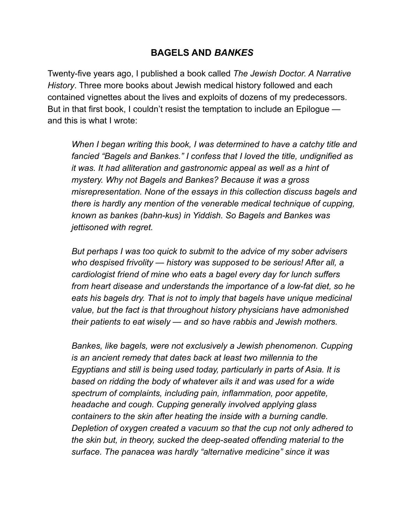## **BAGELS AND** *BANKES*

Twenty-five years ago, I published a book called *The Jewish Doctor. A Narrative History*. Three more books about Jewish medical history followed and each contained vignettes about the lives and exploits of dozens of my predecessors. But in that first book, I couldn't resist the temptation to include an Epilogue and this is what I wrote:

 *When I began writing this book, I was determined to have a catchy title and fancied "Bagels and Bankes." I confess that I loved the title, undignified as it was. It had alliteration and gastronomic appeal as well as a hint of mystery. Why not Bagels and Bankes? Because it was a gross misrepresentation. None of the essays in this collection discuss bagels and there is hardly any mention of the venerable medical technique of cupping, known as bankes (bahn-kus) in Yiddish. So Bagels and Bankes was jettisoned with regret.* 

 *But perhaps I was too quick to submit to the advice of my sober advisers who despised frivolity — history was supposed to be serious! After all, a cardiologist friend of mine who eats a bagel every day for lunch suffers from heart disease and understands the importance of a low-fat diet, so he eats his bagels dry. That is not to imply that bagels have unique medicinal value, but the fact is that throughout history physicians have admonished their patients to eat wisely — and so have rabbis and Jewish mothers.* 

 *Bankes, like bagels, were not exclusively a Jewish phenomenon. Cupping is an ancient remedy that dates back at least two millennia to the Egyptians and still is being used today, particularly in parts of Asia. It is based on ridding the body of whatever ails it and was used for a wide spectrum of complaints, including pain, inflammation, poor appetite, headache and cough. Cupping generally involved applying glass containers to the skin after heating the inside with a burning candle. Depletion of oxygen created a vacuum so that the cup not only adhered to the skin but, in theory, sucked the deep-seated offending material to the surface. The panacea was hardly "alternative medicine" since it was*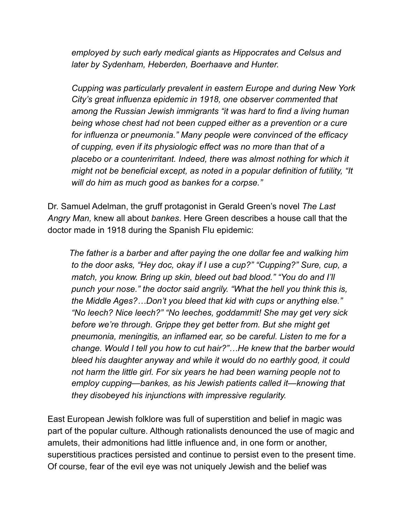*employed by such early medical giants as Hippocrates and Celsus and later by Sydenham, Heberden, Boerhaave and Hunter.* 

 *Cupping was particularly prevalent in eastern Europe and during New York City's great influenza epidemic in 1918, one observer commented that among the Russian Jewish immigrants "it was hard to find a living human being whose chest had not been cupped either as a prevention or a cure for influenza or pneumonia." Many people were convinced of the efficacy of cupping, even if its physiologic effect was no more than that of a placebo or a counterirritant. Indeed, there was almost nothing for which it might not be beneficial except, as noted in a popular definition of futility, "It will do him as much good as bankes for a corpse."* 

Dr. Samuel Adelman, the gruff protagonist in Gerald Green's novel *The Last Angry Man,* knew all about *bankes*. Here Green describes a house call that the doctor made in 1918 during the Spanish Flu epidemic:

 *The father is a barber and after paying the one dollar fee and walking him to the door asks, "Hey doc, okay if I use a cup?" "Cupping?" Sure, cup, a match, you know. Bring up skin, bleed out bad blood." "You do and I'll punch your nose." the doctor said angrily. "What the hell you think this is, the Middle Ages?…Don't you bleed that kid with cups or anything else." "No leech? Nice leech?" "No leeches, goddammit! She may get very sick before we're through. Grippe they get better from. But she might get pneumonia, meningitis, an inflamed ear, so be careful. Listen to me for a change. Would I tell you how to cut hair?"…He knew that the barber would bleed his daughter anyway and while it would do no earthly good, it could not harm the little girl. For six years he had been warning people not to employ cupping—bankes, as his Jewish patients called it—knowing that they disobeyed his injunctions with impressive regularity.* 

East European Jewish folklore was full of superstition and belief in magic was part of the popular culture. Although rationalists denounced the use of magic and amulets, their admonitions had little influence and, in one form or another, superstitious practices persisted and continue to persist even to the present time. Of course, fear of the evil eye was not uniquely Jewish and the belief was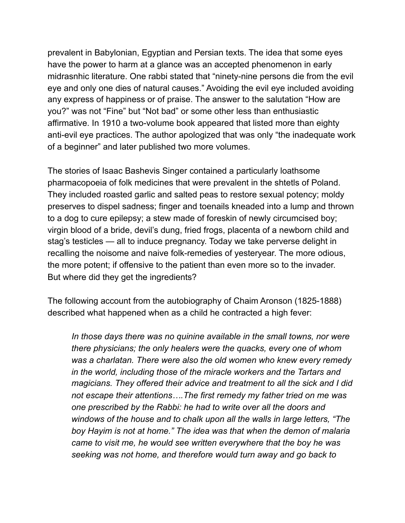prevalent in Babylonian, Egyptian and Persian texts. The idea that some eyes have the power to harm at a glance was an accepted phenomenon in early midrasnhic literature. One rabbi stated that "ninety-nine persons die from the evil eye and only one dies of natural causes." Avoiding the evil eye included avoiding any express of happiness or of praise. The answer to the salutation "How are you?" was not "Fine" but "Not bad" or some other less than enthusiastic affirmative. In 1910 a two-volume book appeared that listed more than eighty anti-evil eye practices. The author apologized that was only "the inadequate work of a beginner" and later published two more volumes.

The stories of Isaac Bashevis Singer contained a particularly loathsome pharmacopoeia of folk medicines that were prevalent in the shtetls of Poland. They included roasted garlic and salted peas to restore sexual potency; moldy preserves to dispel sadness; finger and toenails kneaded into a lump and thrown to a dog to cure epilepsy; a stew made of foreskin of newly circumcised boy; virgin blood of a bride, devil's dung, fried frogs, placenta of a newborn child and stag's testicles — all to induce pregnancy. Today we take perverse delight in recalling the noisome and naive folk-remedies of yesteryear. The more odious, the more potent; if offensive to the patient than even more so to the invader. But where did they get the ingredients?

The following account from the autobiography of Chaim Aronson (1825-1888) described what happened when as a child he contracted a high fever:

 *In those days there was no quinine available in the small towns, nor were there physicians; the only healers were the quacks, every one of whom was a charlatan. There were also the old women who knew every remedy in the world, including those of the miracle workers and the Tartars and magicians. They offered their advice and treatment to all the sick and I did not escape their attentions….The first remedy my father tried on me was one prescribed by the Rabbi: he had to write over all the doors and windows of the house and to chalk upon all the walls in large letters, "The boy Hayim is not at home." The idea was that when the demon of malaria came to visit me, he would see written everywhere that the boy he was seeking was not home, and therefore would turn away and go back to*